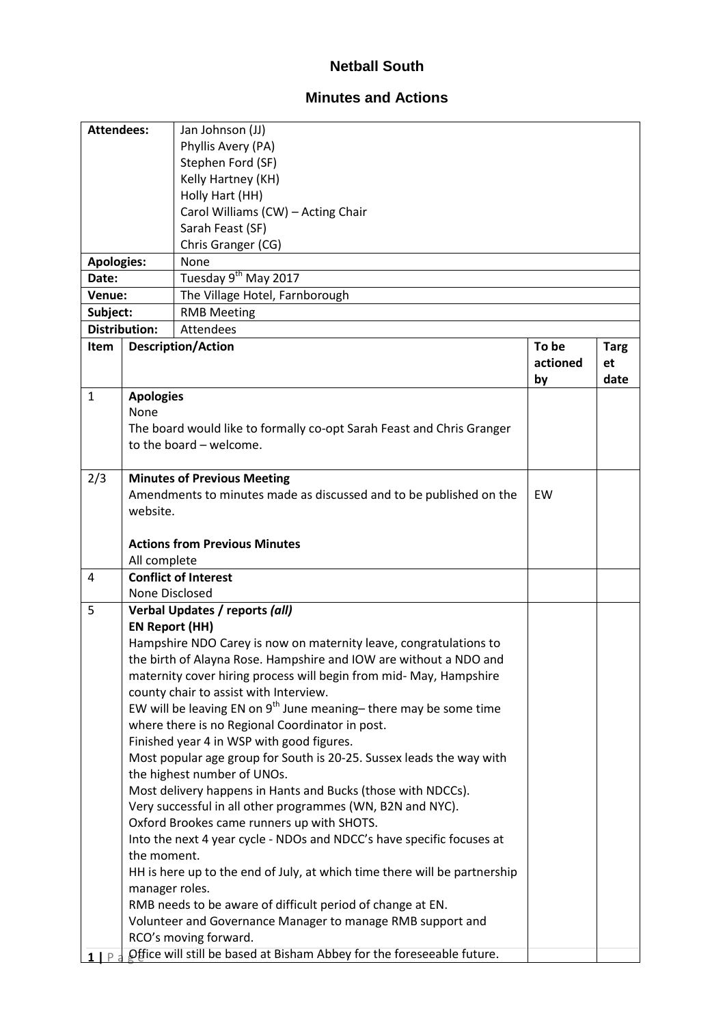## **Netball South**

## **Minutes and Actions**

| <b>Attendees:</b> |                                                                          | Jan Johnson (JJ)                                                          |          |             |  |  |
|-------------------|--------------------------------------------------------------------------|---------------------------------------------------------------------------|----------|-------------|--|--|
|                   |                                                                          | Phyllis Avery (PA)                                                        |          |             |  |  |
|                   |                                                                          | Stephen Ford (SF)                                                         |          |             |  |  |
|                   |                                                                          | Kelly Hartney (KH)                                                        |          |             |  |  |
|                   |                                                                          | Holly Hart (HH)                                                           |          |             |  |  |
|                   |                                                                          | Carol Williams (CW) - Acting Chair                                        |          |             |  |  |
|                   |                                                                          | Sarah Feast (SF)                                                          |          |             |  |  |
|                   |                                                                          | Chris Granger (CG)                                                        |          |             |  |  |
| <b>Apologies:</b> |                                                                          | None                                                                      |          |             |  |  |
| Date:             |                                                                          | Tuesday 9 <sup>th</sup> May 2017                                          |          |             |  |  |
| Venue:            |                                                                          | The Village Hotel, Farnborough                                            |          |             |  |  |
| Subject:          |                                                                          | <b>RMB Meeting</b>                                                        |          |             |  |  |
|                   | <b>Distribution:</b>                                                     | Attendees                                                                 |          |             |  |  |
| Item              |                                                                          | <b>Description/Action</b>                                                 | To be    | <b>Targ</b> |  |  |
|                   |                                                                          |                                                                           | actioned | et          |  |  |
|                   |                                                                          |                                                                           | by       | date        |  |  |
| $\mathbf{1}$      | <b>Apologies</b>                                                         |                                                                           |          |             |  |  |
|                   | None                                                                     |                                                                           |          |             |  |  |
|                   |                                                                          | The board would like to formally co-opt Sarah Feast and Chris Granger     |          |             |  |  |
|                   |                                                                          | to the board - welcome.                                                   |          |             |  |  |
|                   |                                                                          |                                                                           |          |             |  |  |
| 2/3               |                                                                          | <b>Minutes of Previous Meeting</b>                                        |          |             |  |  |
|                   | Amendments to minutes made as discussed and to be published on the<br>EW |                                                                           |          |             |  |  |
|                   | website.                                                                 |                                                                           |          |             |  |  |
|                   |                                                                          |                                                                           |          |             |  |  |
|                   |                                                                          | <b>Actions from Previous Minutes</b>                                      |          |             |  |  |
|                   | All complete                                                             |                                                                           |          |             |  |  |
| 4                 |                                                                          | <b>Conflict of Interest</b>                                               |          |             |  |  |
|                   | None Disclosed                                                           |                                                                           |          |             |  |  |
| 5                 |                                                                          | Verbal Updates / reports (all)                                            |          |             |  |  |
|                   | <b>EN Report (HH)</b>                                                    |                                                                           |          |             |  |  |
|                   |                                                                          | Hampshire NDO Carey is now on maternity leave, congratulations to         |          |             |  |  |
|                   |                                                                          | the birth of Alayna Rose. Hampshire and IOW are without a NDO and         |          |             |  |  |
|                   |                                                                          | maternity cover hiring process will begin from mid-May, Hampshire         |          |             |  |  |
|                   |                                                                          | county chair to assist with Interview.                                    |          |             |  |  |
|                   |                                                                          | EW will be leaving EN on $9th$ June meaning– there may be some time       |          |             |  |  |
|                   |                                                                          | where there is no Regional Coordinator in post.                           |          |             |  |  |
|                   |                                                                          | Finished year 4 in WSP with good figures.                                 |          |             |  |  |
|                   |                                                                          | Most popular age group for South is 20-25. Sussex leads the way with      |          |             |  |  |
|                   |                                                                          | the highest number of UNOs.                                               |          |             |  |  |
|                   |                                                                          | Most delivery happens in Hants and Bucks (those with NDCCs).              |          |             |  |  |
|                   |                                                                          | Very successful in all other programmes (WN, B2N and NYC).                |          |             |  |  |
|                   |                                                                          | Oxford Brookes came runners up with SHOTS.                                |          |             |  |  |
|                   |                                                                          | Into the next 4 year cycle - NDOs and NDCC's have specific focuses at     |          |             |  |  |
|                   | the moment.                                                              |                                                                           |          |             |  |  |
|                   |                                                                          | HH is here up to the end of July, at which time there will be partnership |          |             |  |  |
|                   | manager roles.                                                           |                                                                           |          |             |  |  |
|                   |                                                                          | RMB needs to be aware of difficult period of change at EN.                |          |             |  |  |
|                   |                                                                          | Volunteer and Governance Manager to manage RMB support and                |          |             |  |  |
|                   |                                                                          | RCO's moving forward.                                                     |          |             |  |  |
|                   |                                                                          | Office will still be based at Bisham Abbey for the foreseeable future.    |          |             |  |  |
|                   |                                                                          |                                                                           |          |             |  |  |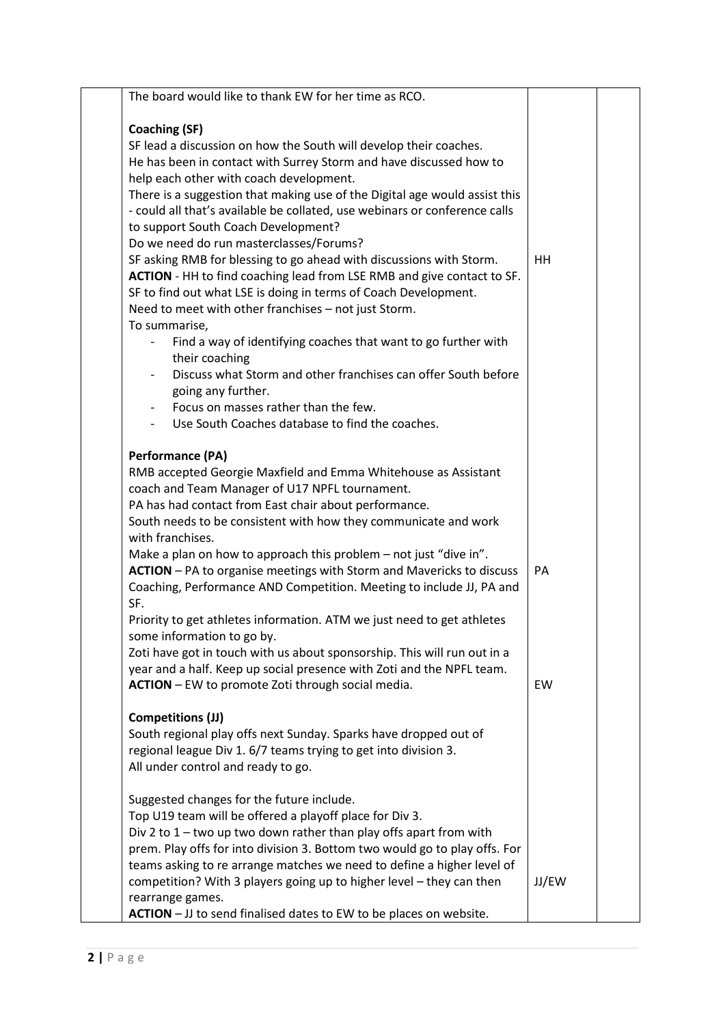| The board would like to thank EW for her time as RCO.                                                                                                                                                                                                                                                                                                                                                                                                                                                                                                                                                                                                                                                                                                 |       |  |
|-------------------------------------------------------------------------------------------------------------------------------------------------------------------------------------------------------------------------------------------------------------------------------------------------------------------------------------------------------------------------------------------------------------------------------------------------------------------------------------------------------------------------------------------------------------------------------------------------------------------------------------------------------------------------------------------------------------------------------------------------------|-------|--|
| <b>Coaching (SF)</b><br>SF lead a discussion on how the South will develop their coaches.<br>He has been in contact with Surrey Storm and have discussed how to<br>help each other with coach development.<br>There is a suggestion that making use of the Digital age would assist this<br>- could all that's available be collated, use webinars or conference calls<br>to support South Coach Development?<br>Do we need do run masterclasses/Forums?<br>SF asking RMB for blessing to go ahead with discussions with Storm.<br>ACTION - HH to find coaching lead from LSE RMB and give contact to SF.<br>SF to find out what LSE is doing in terms of Coach Development.<br>Need to meet with other franchises - not just Storm.<br>To summarise, | HH    |  |
| Find a way of identifying coaches that want to go further with<br>their coaching<br>Discuss what Storm and other franchises can offer South before<br>going any further.<br>Focus on masses rather than the few.<br>Use South Coaches database to find the coaches.<br>$\overline{\phantom{0}}$                                                                                                                                                                                                                                                                                                                                                                                                                                                       |       |  |
| <b>Performance (PA)</b><br>RMB accepted Georgie Maxfield and Emma Whitehouse as Assistant<br>coach and Team Manager of U17 NPFL tournament.<br>PA has had contact from East chair about performance.<br>South needs to be consistent with how they communicate and work                                                                                                                                                                                                                                                                                                                                                                                                                                                                               |       |  |
| with franchises.<br>Make a plan on how to approach this problem – not just "dive in".<br><b>ACTION</b> - PA to organise meetings with Storm and Mavericks to discuss<br>Coaching, Performance AND Competition. Meeting to include JJ, PA and                                                                                                                                                                                                                                                                                                                                                                                                                                                                                                          | PA    |  |
| SF.<br>Priority to get athletes information. ATM we just need to get athletes<br>some information to go by.<br>Zoti have got in touch with us about sponsorship. This will run out in a<br>year and a half. Keep up social presence with Zoti and the NPFL team.<br>ACTION - EW to promote Zoti through social media.                                                                                                                                                                                                                                                                                                                                                                                                                                 | EW    |  |
| <b>Competitions (JJ)</b><br>South regional play offs next Sunday. Sparks have dropped out of<br>regional league Div 1. 6/7 teams trying to get into division 3.<br>All under control and ready to go.                                                                                                                                                                                                                                                                                                                                                                                                                                                                                                                                                 |       |  |
| Suggested changes for the future include.<br>Top U19 team will be offered a playoff place for Div 3.<br>Div 2 to $1$ – two up two down rather than play offs apart from with<br>prem. Play offs for into division 3. Bottom two would go to play offs. For<br>teams asking to re arrange matches we need to define a higher level of<br>competition? With 3 players going up to higher level - they can then<br>rearrange games.                                                                                                                                                                                                                                                                                                                      | JJ/EW |  |
| $ACTION - JJ$ to send finalised dates to EW to be places on website.                                                                                                                                                                                                                                                                                                                                                                                                                                                                                                                                                                                                                                                                                  |       |  |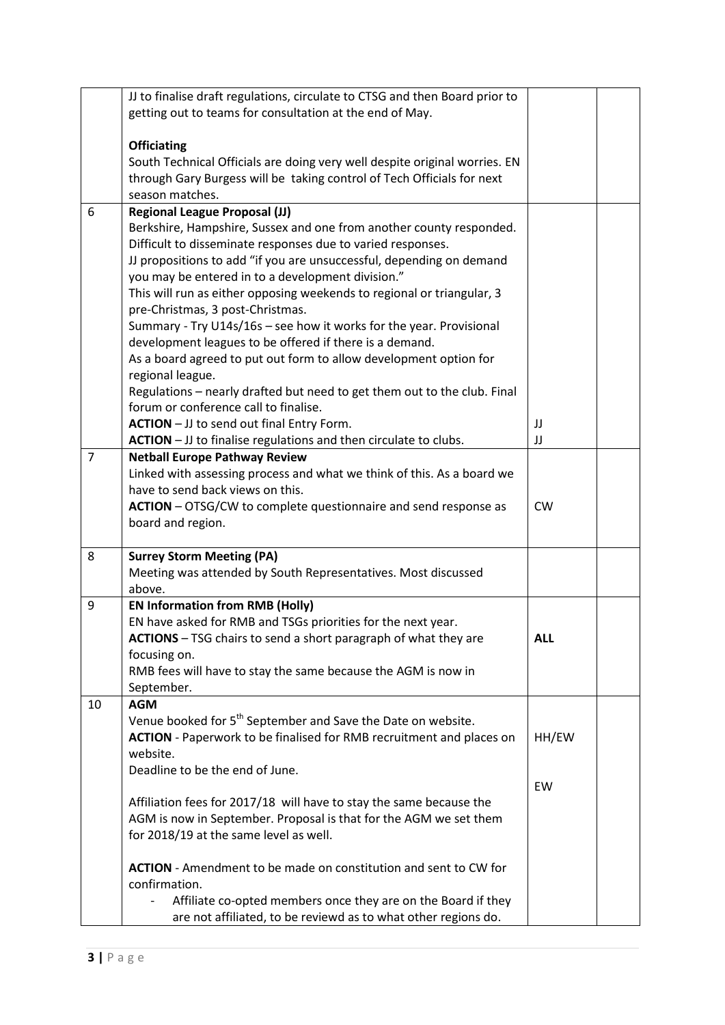|                | JJ to finalise draft regulations, circulate to CTSG and then Board prior to                             |            |  |
|----------------|---------------------------------------------------------------------------------------------------------|------------|--|
|                | getting out to teams for consultation at the end of May.                                                |            |  |
|                | <b>Officiating</b>                                                                                      |            |  |
|                | South Technical Officials are doing very well despite original worries. EN                              |            |  |
|                | through Gary Burgess will be taking control of Tech Officials for next                                  |            |  |
|                | season matches.                                                                                         |            |  |
| 6              | <b>Regional League Proposal (JJ)</b>                                                                    |            |  |
|                | Berkshire, Hampshire, Sussex and one from another county responded.                                     |            |  |
|                | Difficult to disseminate responses due to varied responses.                                             |            |  |
|                | JJ propositions to add "if you are unsuccessful, depending on demand                                    |            |  |
|                | you may be entered in to a development division."                                                       |            |  |
|                | This will run as either opposing weekends to regional or triangular, 3                                  |            |  |
|                | pre-Christmas, 3 post-Christmas.<br>Summary - Try U14s/16s - see how it works for the year. Provisional |            |  |
|                | development leagues to be offered if there is a demand.                                                 |            |  |
|                | As a board agreed to put out form to allow development option for                                       |            |  |
|                | regional league.                                                                                        |            |  |
|                | Regulations - nearly drafted but need to get them out to the club. Final                                |            |  |
|                | forum or conference call to finalise.                                                                   |            |  |
|                | ACTION - JJ to send out final Entry Form.                                                               | IJ         |  |
|                | ACTION - JJ to finalise regulations and then circulate to clubs.                                        | IJ         |  |
| $\overline{7}$ | <b>Netball Europe Pathway Review</b>                                                                    |            |  |
|                | Linked with assessing process and what we think of this. As a board we                                  |            |  |
|                | have to send back views on this.                                                                        |            |  |
|                | <b>ACTION</b> – OTSG/CW to complete questionnaire and send response as                                  | <b>CW</b>  |  |
|                | board and region.                                                                                       |            |  |
| 8              | <b>Surrey Storm Meeting (PA)</b>                                                                        |            |  |
|                | Meeting was attended by South Representatives. Most discussed                                           |            |  |
|                | above.                                                                                                  |            |  |
| 9              | <b>EN Information from RMB (Holly)</b>                                                                  |            |  |
|                | EN have asked for RMB and TSGs priorities for the next year.                                            |            |  |
|                | ACTIONS - TSG chairs to send a short paragraph of what they are                                         | <b>ALL</b> |  |
|                | focusing on.                                                                                            |            |  |
|                | RMB fees will have to stay the same because the AGM is now in                                           |            |  |
| 10             | September.<br><b>AGM</b>                                                                                |            |  |
|                | Venue booked for 5 <sup>th</sup> September and Save the Date on website.                                |            |  |
|                | ACTION - Paperwork to be finalised for RMB recruitment and places on                                    | HH/EW      |  |
|                | website.                                                                                                |            |  |
|                | Deadline to be the end of June.                                                                         |            |  |
|                |                                                                                                         | EW         |  |
|                | Affiliation fees for 2017/18 will have to stay the same because the                                     |            |  |
|                | AGM is now in September. Proposal is that for the AGM we set them                                       |            |  |
|                | for 2018/19 at the same level as well.                                                                  |            |  |
|                | <b>ACTION</b> - Amendment to be made on constitution and sent to CW for                                 |            |  |
|                | confirmation.                                                                                           |            |  |
|                | Affiliate co-opted members once they are on the Board if they                                           |            |  |
|                | are not affiliated, to be reviewd as to what other regions do.                                          |            |  |